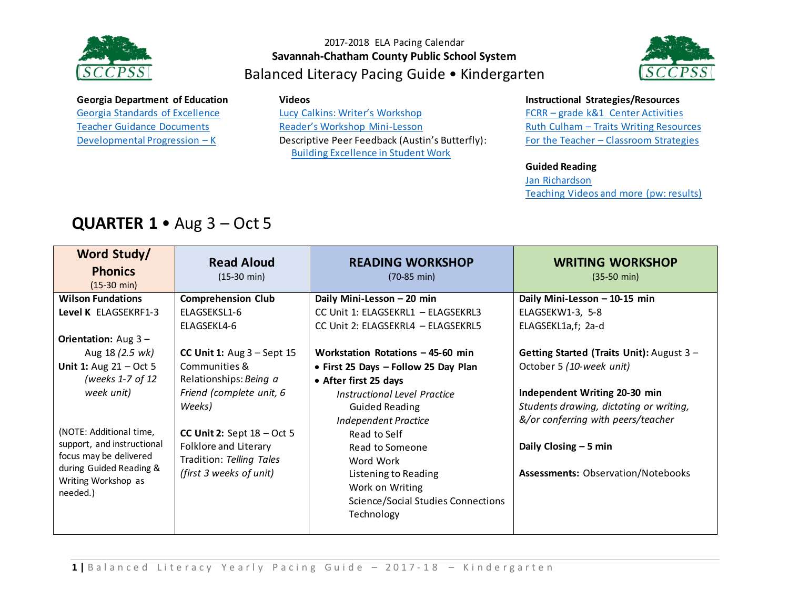



### **Georgia Department of Education**

[Georgia Standards of Excellence](https://drive.google.com/open?id=0ByacPIqPkdVwdTdpMHdNYS15UFk) [Teacher Guidance Documents](https://drive.google.com/open?id=0ByacPIqPkdVwdUJZYm5ySFNGV3M) [Developmental Progression](https://drive.google.com/open?id=0ByacPIqPkdVwM2swZ0dTZ1BLNFE) – K

#### **Videos**

Lucy Calkins: [Writer's Workshop](https://www.youtube.com/watch?v=zPRM2ZXyrS0&list=PLb5RXypPqP5sNAYNUDEfwaq2QYPauhCcc) [Reader's Workshop Mini](https://www.youtube.com/watch?v=x-wGHenBAEc&index=13&list=PL1R9MLStsjiGBNHPeCMUidYAVX0_1GwNj)-Lesson Descriptive Peer Feedback (Austin's Butterfly): [Building Excellence in Student Work](https://vimeo.com/38247060)

#### **Instructional Strategies/Resources**

FCRR – [grade k&1 Center Activities](http://www.fcrr.org/resources/resources_sca_k-1.html)  Ruth Culham – [Traits Writing Resources](http://www.fcrr.org/resources/resources_sca_k-1.html) For the Teacher – [Classroom Strategies](http://www.fortheteachers.org/instructional_strategies/)

### **Guided Reading**

[Jan Richardson](http://www.janrichardsonguidedreading.com/home) [Teaching Videos](http://www.scholastic.com/NSFresources/) and more (pw: results)

# **QUARTER 1** • Aug 3 – Oct 5

| Word Study/                                    | <b>Read Aloud</b>            | <b>READING WORKSHOP</b>                   | <b>WRITING WORKSHOP</b>                   |
|------------------------------------------------|------------------------------|-------------------------------------------|-------------------------------------------|
| <b>Phonics</b>                                 | $(15-30 \text{ min})$        | $(70-85 \text{ min})$                     | $(35-50 \text{ min})$                     |
| $(15-30 \text{ min})$                          |                              |                                           |                                           |
| <b>Wilson Fundations</b>                       | <b>Comprehension Club</b>    | Daily Mini-Lesson - 20 min                | Daily Mini-Lesson - 10-15 min             |
| Level K ELAGSEKRF1-3                           | ELAGSEKSL1-6                 | CC Unit 1: ELAGSEKRL1 - ELAGSEKRL3        | ELAGSEKW1-3, 5-8                          |
|                                                | ELAGSEKL4-6                  | CC Unit 2: ELAGSEKRL4 - ELAGSEKRL5        | ELAGSEKL1a,f; 2a-d                        |
| <b>Orientation:</b> Aug $3 -$                  |                              |                                           |                                           |
| Aug 18 (2.5 wk)                                | CC Unit 1: $Aug 3 - Sept 15$ | Workstation Rotations $-45-60$ min        | Getting Started (Traits Unit): August 3 - |
| <b>Unit 1:</b> Aug $21 - Oct 5$                | Communities &                | • First 25 Days - Follow 25 Day Plan      | October 5 (10-week unit)                  |
| (weeks 1-7 of 12                               | Relationships: Being a       | • After first 25 days                     |                                           |
| week unit)                                     | Friend (complete unit, 6     | Instructional Level Practice              | Independent Writing 20-30 min             |
|                                                | Weeks)                       | <b>Guided Reading</b>                     | Students drawing, dictating or writing,   |
|                                                |                              | <b>Independent Practice</b>               | &/or conferring with peers/teacher        |
| (NOTE: Additional time,                        | CC Unit 2: Sept $18 - Oct 5$ | Read to Self                              |                                           |
| support, and instructional                     | Folklore and Literary        | Read to Someone                           | Daily Closing $-5$ min                    |
| focus may be delivered                         | Tradition: Telling Tales     | Word Work                                 |                                           |
| during Guided Reading &<br>Writing Workshop as | (first 3 weeks of unit)      | Listening to Reading                      | <b>Assessments: Observation/Notebooks</b> |
| needed.)                                       |                              | Work on Writing                           |                                           |
|                                                |                              | <b>Science/Social Studies Connections</b> |                                           |
|                                                |                              | Technology                                |                                           |
|                                                |                              |                                           |                                           |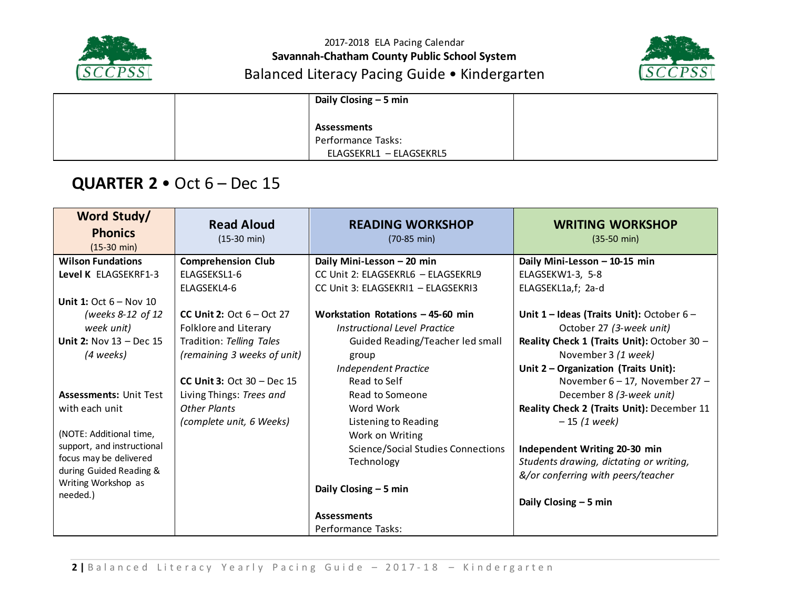



|  | Daily Closing - 5 min   |  |
|--|-------------------------|--|
|  |                         |  |
|  | <b>Assessments</b>      |  |
|  | Performance Tasks:      |  |
|  | ELAGSEKRL1 - ELAGSEKRL5 |  |

## **QUARTER 2** • Oct 6 – Dec 15

| Word Study/<br><b>Phonics</b><br>$(15-30 \text{ min})$ | <b>Read Aloud</b><br>$(15-30 \text{ min})$ | <b>READING WORKSHOP</b><br>$(70-85 \text{ min})$ | <b>WRITING WORKSHOP</b><br>$(35-50 \text{ min})$ |
|--------------------------------------------------------|--------------------------------------------|--------------------------------------------------|--------------------------------------------------|
| <b>Wilson Fundations</b>                               | <b>Comprehension Club</b>                  | Daily Mini-Lesson - 20 min                       | Daily Mini-Lesson - 10-15 min                    |
| Level K ELAGSEKRF1-3                                   | ELAGSEKSL1-6                               | CC Unit 2: ELAGSEKRL6 - ELAGSEKRL9               | ELAGSEKW1-3, 5-8                                 |
|                                                        | ELAGSEKL4-6                                | CC Unit 3: ELAGSEKRI1 - ELAGSEKRI3               | ELAGSEKL1a,f; 2a-d                               |
| Unit 1: Oct $6 -$ Nov 10                               |                                            |                                                  |                                                  |
| (weeks 8-12 of 12                                      | <b>CC Unit 2:</b> Oct $6 - Oct$ 27         | Workstation Rotations - 45-60 min                | Unit $1$ – Ideas (Traits Unit): October $6$ –    |
| week unit)                                             | Folklore and Literary                      | Instructional Level Practice                     | October 27 (3-week unit)                         |
| Unit 2: Nov $13$ - Dec 15                              | Tradition: Telling Tales                   | Guided Reading/Teacher led small                 | Reality Check 1 (Traits Unit): October 30 -      |
| (4 weeks)                                              | (remaining 3 weeks of unit)                | group                                            | November 3 (1 week)                              |
|                                                        |                                            | <b>Independent Practice</b>                      | Unit 2 - Organization (Traits Unit):             |
|                                                        | CC Unit 3: Oct $30 - Dec 15$               | Read to Self                                     | November $6 - 17$ , November 27 -                |
| <b>Assessments: Unit Test</b>                          | Living Things: Trees and                   | Read to Someone                                  | December 8 (3-week unit)                         |
| with each unit                                         | <b>Other Plants</b>                        | Word Work                                        | Reality Check 2 (Traits Unit): December 11       |
|                                                        | (complete unit, 6 Weeks)                   | Listening to Reading                             | $-15(1 week)$                                    |
| (NOTE: Additional time,                                |                                            | Work on Writing                                  |                                                  |
| support, and instructional                             |                                            | <b>Science/Social Studies Connections</b>        | Independent Writing 20-30 min                    |
| focus may be delivered                                 |                                            | Technology                                       | Students drawing, dictating or writing,          |
| during Guided Reading &                                |                                            |                                                  | &/or conferring with peers/teacher               |
| Writing Workshop as<br>needed.)                        |                                            | Daily Closing - 5 min                            |                                                  |
|                                                        |                                            |                                                  | Daily Closing $-5$ min                           |
|                                                        |                                            | <b>Assessments</b>                               |                                                  |
|                                                        |                                            | Performance Tasks:                               |                                                  |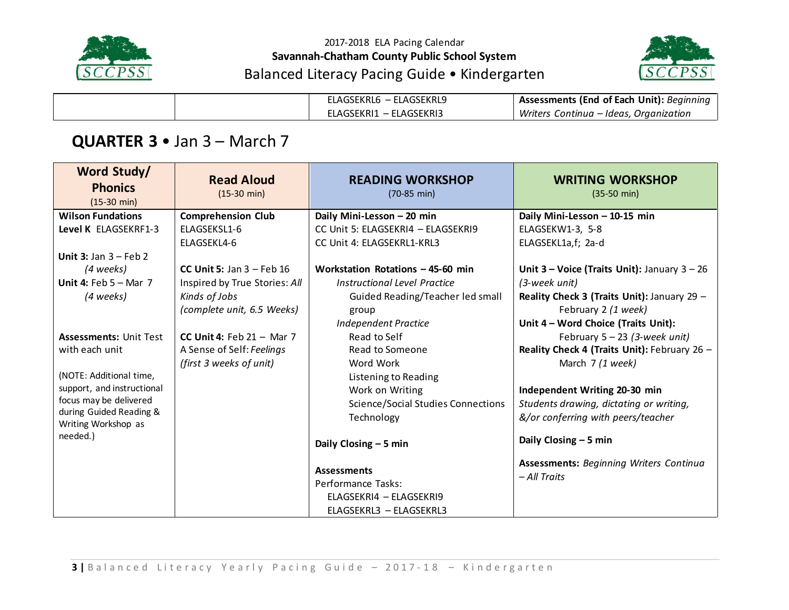



| ELAGSEKRL6 - ELAGSEKRL9 | Assessments (End of Each Unit): Beginning |
|-------------------------|-------------------------------------------|
| ELAGSEKRI1 – ELAGSEKRI3 | Writers Continua – Ideas, Organization    |

## **QUARTER 3** • Jan 3 – March 7

| Word Study/<br><b>Phonics</b><br>$(15-30 \text{ min})$ | <b>Read Aloud</b><br>$(15-30 \text{ min})$ | <b>READING WORKSHOP</b><br>$(70-85 \text{ min})$ | <b>WRITING WORKSHOP</b><br>$(35-50 \text{ min})$               |
|--------------------------------------------------------|--------------------------------------------|--------------------------------------------------|----------------------------------------------------------------|
| <b>Wilson Fundations</b>                               | <b>Comprehension Club</b>                  | Daily Mini-Lesson - 20 min                       | Daily Mini-Lesson - 10-15 min                                  |
| Level K ELAGSEKRF1-3                                   | ELAGSEKSL1-6                               | CC Unit 5: ELAGSEKRI4 - ELAGSEKRI9               | ELAGSEKW1-3, 5-8                                               |
|                                                        | ELAGSEKL4-6                                | CC Unit 4: ELAGSEKRL1-KRL3                       | ELAGSEKL1a,f; 2a-d                                             |
| Unit 3: Jan $3 - Feb2$                                 |                                            |                                                  |                                                                |
| (4 weeks)                                              | CC Unit 5: Jan $3$ – Feb 16                | Workstation Rotations - 45-60 min                | Unit $3$ – Voice (Traits Unit): January $3 - 26$               |
| Unit 4: Feb $5 -$ Mar 7                                | Inspired by True Stories: All              | Instructional Level Practice                     | (3-week unit)                                                  |
| (4 weeks)                                              | Kinds of Jobs                              | Guided Reading/Teacher led small                 | Reality Check 3 (Traits Unit): January 29 -                    |
|                                                        | (complete unit, 6.5 Weeks)                 | group                                            | February 2 (1 week)                                            |
|                                                        |                                            | <b>Independent Practice</b>                      | Unit 4 - Word Choice (Traits Unit):                            |
| <b>Assessments: Unit Test</b>                          | CC Unit 4: Feb $21 -$ Mar 7                | Read to Self                                     | February $5 - 23$ (3-week unit)                                |
| with each unit                                         | A Sense of Self: Feelings                  | Read to Someone                                  | Reality Check 4 (Traits Unit): February 26 -                   |
|                                                        | (first 3 weeks of unit)                    | Word Work                                        | March 7 (1 week)                                               |
| (NOTE: Additional time,                                |                                            | Listening to Reading                             |                                                                |
| support, and instructional                             |                                            | Work on Writing                                  | Independent Writing 20-30 min                                  |
| focus may be delivered                                 |                                            | <b>Science/Social Studies Connections</b>        | Students drawing, dictating or writing,                        |
| during Guided Reading &<br>Writing Workshop as         |                                            | Technology                                       | &/or conferring with peers/teacher                             |
| needed.)                                               |                                            | Daily Closing - 5 min                            | Daily Closing $-5$ min                                         |
|                                                        |                                            | <b>Assessments</b>                               | <b>Assessments: Beginning Writers Continua</b><br>- All Traits |
|                                                        |                                            | Performance Tasks:                               |                                                                |
|                                                        |                                            | ELAGSEKRI4 - ELAGSEKRI9                          |                                                                |
|                                                        |                                            | ELAGSEKRL3 - ELAGSEKRL3                          |                                                                |